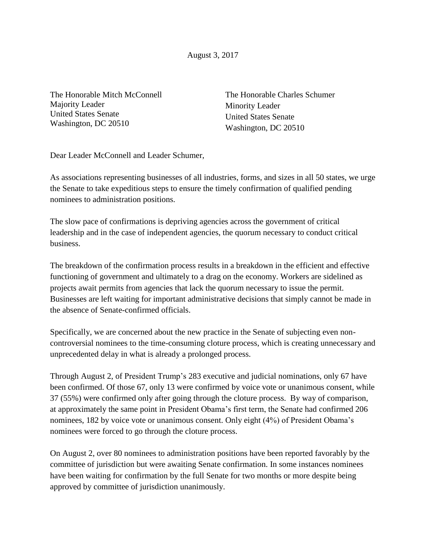August 3, 2017

The Honorable Mitch McConnell Majority Leader United States Senate Washington, DC 20510

The Honorable Charles Schumer Minority Leader United States Senate Washington, DC 20510

Dear Leader McConnell and Leader Schumer,

As associations representing businesses of all industries, forms, and sizes in all 50 states, we urge the Senate to take expeditious steps to ensure the timely confirmation of qualified pending nominees to administration positions.

The slow pace of confirmations is depriving agencies across the government of critical leadership and in the case of independent agencies, the quorum necessary to conduct critical business.

The breakdown of the confirmation process results in a breakdown in the efficient and effective functioning of government and ultimately to a drag on the economy. Workers are sidelined as projects await permits from agencies that lack the quorum necessary to issue the permit. Businesses are left waiting for important administrative decisions that simply cannot be made in the absence of Senate-confirmed officials.

Specifically, we are concerned about the new practice in the Senate of subjecting even noncontroversial nominees to the time-consuming cloture process, which is creating unnecessary and unprecedented delay in what is already a prolonged process.

Through August 2, of President Trump's 283 executive and judicial nominations, only 67 have been confirmed. Of those 67, only 13 were confirmed by voice vote or unanimous consent, while 37 (55%) were confirmed only after going through the cloture process. By way of comparison, at approximately the same point in President Obama's first term, the Senate had confirmed 206 nominees, 182 by voice vote or unanimous consent. Only eight (4%) of President Obama's nominees were forced to go through the cloture process.

On August 2, over 80 nominees to administration positions have been reported favorably by the committee of jurisdiction but were awaiting Senate confirmation. In some instances nominees have been waiting for confirmation by the full Senate for two months or more despite being approved by committee of jurisdiction unanimously.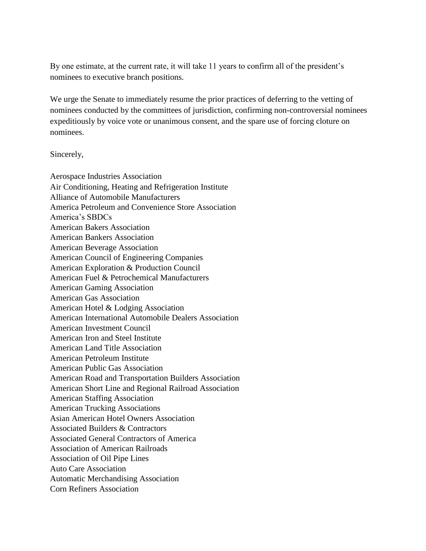By one estimate, at the current rate, it will take 11 years to confirm all of the president's nominees to executive branch positions.

We urge the Senate to immediately resume the prior practices of deferring to the vetting of nominees conducted by the committees of jurisdiction, confirming non-controversial nominees expeditiously by voice vote or unanimous consent, and the spare use of forcing cloture on nominees.

## Sincerely,

Aerospace Industries Association Air Conditioning, Heating and Refrigeration Institute Alliance of Automobile Manufacturers America Petroleum and Convenience Store Association America's SBDCs American Bakers Association American Bankers Association American Beverage Association American Council of Engineering Companies American Exploration & Production Council American Fuel & Petrochemical Manufacturers American Gaming Association American Gas Association American Hotel & Lodging Association American International Automobile Dealers Association American Investment Council American Iron and Steel Institute American Land Title Association American Petroleum Institute American Public Gas Association American Road and Transportation Builders Association American Short Line and Regional Railroad Association American Staffing Association American Trucking Associations Asian American Hotel Owners Association Associated Builders & Contractors Associated General Contractors of America Association of American Railroads Association of Oil Pipe Lines Auto Care Association Automatic Merchandising Association Corn Refiners Association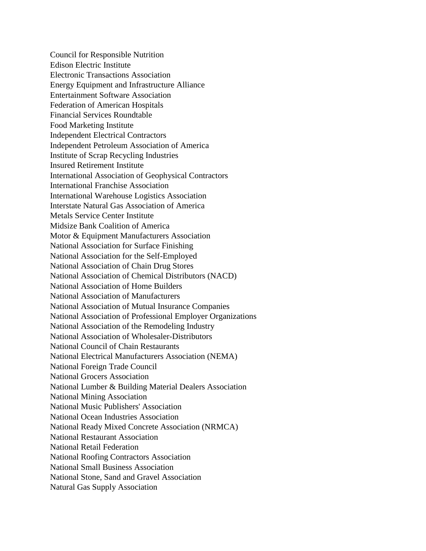Council for Responsible Nutrition Edison Electric Institute Electronic Transactions Association Energy Equipment and Infrastructure Alliance Entertainment Software Association Federation of American Hospitals Financial Services Roundtable Food Marketing Institute Independent Electrical Contractors Independent Petroleum Association of America Institute of Scrap Recycling Industries Insured Retirement Institute International Association of Geophysical Contractors International Franchise Association International Warehouse Logistics Association Interstate Natural Gas Association of America Metals Service Center Institute Midsize Bank Coalition of America Motor & Equipment Manufacturers Association National Association for Surface Finishing National Association for the Self-Employed National Association of Chain Drug Stores National Association of Chemical Distributors (NACD) National Association of Home Builders National Association of Manufacturers National Association of Mutual Insurance Companies National Association of Professional Employer Organizations National Association of the Remodeling Industry National Association of Wholesaler-Distributors National Council of Chain Restaurants National Electrical Manufacturers Association (NEMA) National Foreign Trade Council National Grocers Association National Lumber & Building Material Dealers Association National Mining Association National Music Publishers' Association National Ocean Industries Association National Ready Mixed Concrete Association (NRMCA) National Restaurant Association National Retail Federation National Roofing Contractors Association National Small Business Association National Stone, Sand and Gravel Association Natural Gas Supply Association